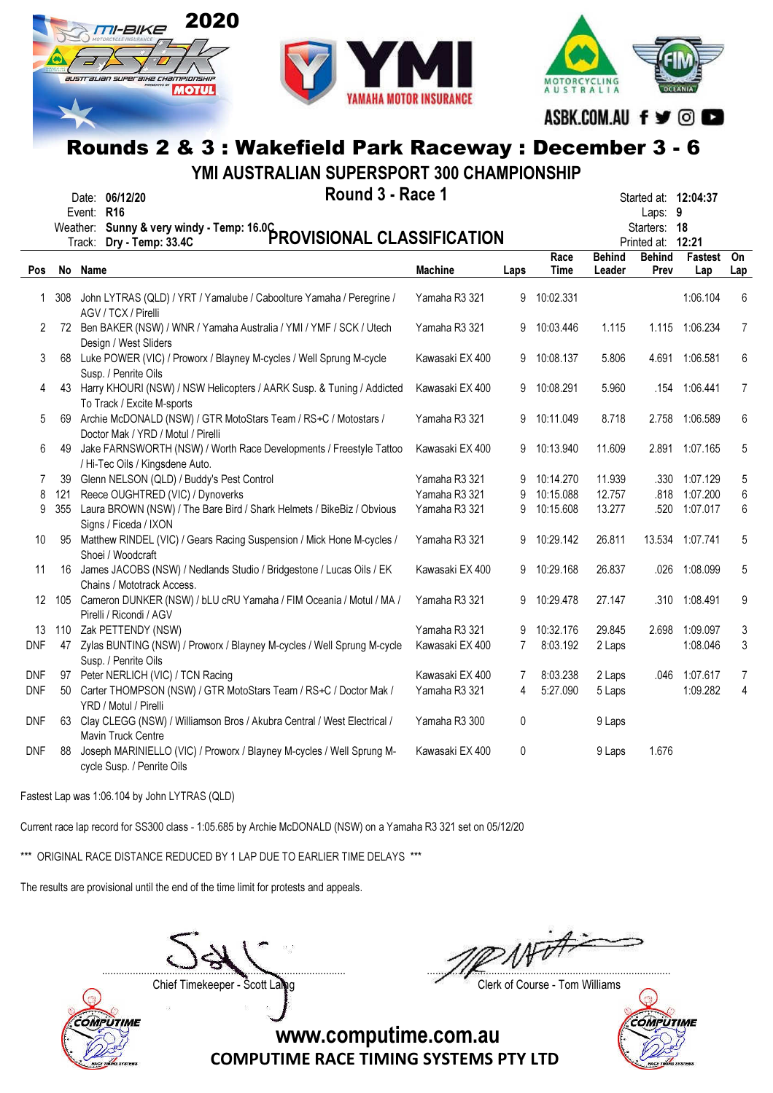





ASBK.COM.AU f y © O

# Rounds 2 & 3 : Wakefield Park Raceway : December 3 - 6

YMI AUSTRALIAN SUPERSPORT 300 CHAMPIONSHIP

|            |       | Round 3 - Race 1<br>Date: 06/12/20<br>Event: R16<br>Weather: Sunny & very windy - Temp: 16.0C<br>The Line Temp: 33.4C PROVISIONAL CLASSIFICATION |                 |                |                     |                         | Started at: 12:04:37<br>Laps: 9<br>Starters: 18<br>Printed at: 12:21 |                       |                |
|------------|-------|--------------------------------------------------------------------------------------------------------------------------------------------------|-----------------|----------------|---------------------|-------------------------|----------------------------------------------------------------------|-----------------------|----------------|
| <b>Pos</b> |       | No Name                                                                                                                                          | <b>Machine</b>  | Laps           | Race<br><b>Time</b> | <b>Behind</b><br>Leader | <b>Behind</b><br>Prev                                                | <b>Fastest</b><br>Lap | On<br>Lap      |
|            | 1 308 | John LYTRAS (QLD) / YRT / Yamalube / Caboolture Yamaha / Peregrine /                                                                             | Yamaha R3 321   | 9              | 10:02.331           |                         |                                                                      | 1:06.104              | 6              |
| 2          | 72    | AGV / TCX / Pirelli<br>Ben BAKER (NSW) / WNR / Yamaha Australia / YMI / YMF / SCK / Utech                                                        | Yamaha R3 321   | 9              | 10:03.446           | 1.115                   |                                                                      | 1.115 1:06.234        | $\overline{7}$ |
| 3          |       | Design / West Sliders<br>68 Luke POWER (VIC) / Proworx / Blayney M-cycles / Well Sprung M-cycle<br>Susp. / Penrite Oils                          | Kawasaki EX 400 | 9              | 10:08.137           | 5.806                   | 4.691                                                                | 1:06.581              | 6              |
| 4          |       | 43 Harry KHOURI (NSW) / NSW Helicopters / AARK Susp. & Tuning / Addicted<br>To Track / Excite M-sports                                           | Kawasaki EX 400 | 9              | 10:08.291           | 5.960                   |                                                                      | .154 1:06.441         | $\overline{7}$ |
| 5          |       | 69 Archie McDONALD (NSW) / GTR MotoStars Team / RS+C / Motostars /<br>Doctor Mak / YRD / Motul / Pirelli                                         | Yamaha R3 321   | 9              | 10:11.049           | 8.718                   | 2.758                                                                | 1:06.589              | 6              |
| 6          | 49    | Jake FARNSWORTH (NSW) / Worth Race Developments / Freestyle Tattoo<br>/ Hi-Tec Oils / Kingsdene Auto.                                            | Kawasaki EX 400 | 9              | 10:13.940           | 11.609                  | 2.891                                                                | 1:07.165              | 5              |
| 7          | 39    | Glenn NELSON (QLD) / Buddy's Pest Control                                                                                                        | Yamaha R3 321   | 9              | 10:14.270           | 11.939                  |                                                                      | .330 1:07.129         | 5              |
| 8          | 121   | Reece OUGHTRED (VIC) / Dynoverks                                                                                                                 | Yamaha R3 321   | 9              | 10:15.088           | 12.757                  |                                                                      | .818 1:07.200         | 6              |
| 9          | 355   | Laura BROWN (NSW) / The Bare Bird / Shark Helmets / BikeBiz / Obvious<br>Signs / Ficeda / IXON                                                   | Yamaha R3 321   | 9              | 10:15.608           | 13.277                  |                                                                      | .520 1:07.017         | 6              |
| 10         | 95    | Matthew RINDEL (VIC) / Gears Racing Suspension / Mick Hone M-cycles /<br>Shoei / Woodcraft                                                       | Yamaha R3 321   | 9              | 10:29.142           | 26.811                  |                                                                      | 13.534 1:07.741       | 5              |
| 11         |       | 16 James JACOBS (NSW) / Nedlands Studio / Bridgestone / Lucas Oils / EK<br>Chains / Mototrack Access.                                            | Kawasaki EX 400 | 9              | 10:29.168           | 26.837                  |                                                                      | .026 1:08.099         | 5              |
| 12         |       | 105 Cameron DUNKER (NSW) / bLU cRU Yamaha / FIM Oceania / Motul / MA /<br>Pirelli / Ricondi / AGV                                                | Yamaha R3 321   | 9              | 10:29.478           | 27.147                  |                                                                      | .310 1:08.491         | 9              |
| 13         |       | 110 Zak PETTENDY (NSW)                                                                                                                           | Yamaha R3 321   | 9              | 10:32.176           | 29.845                  | 2.698                                                                | 1:09.097              | $\sqrt{3}$     |
| DNF        |       | 47 Zylas BUNTING (NSW) / Proworx / Blayney M-cycles / Well Sprung M-cycle<br>Susp. / Penrite Oils                                                | Kawasaki EX 400 | $\overline{7}$ | 8:03.192            | 2 Laps                  |                                                                      | 1:08.046              | 3              |
| DNF        | 97    | Peter NERLICH (VIC) / TCN Racing                                                                                                                 | Kawasaki EX 400 | 7              | 8:03.238            | 2 Laps                  | .046                                                                 | 1:07.617              | 7              |
| DNF        | 50    | Carter THOMPSON (NSW) / GTR MotoStars Team / RS+C / Doctor Mak /<br>YRD / Motul / Pirelli                                                        | Yamaha R3 321   | 4              | 5:27.090            | 5 Laps                  |                                                                      | 1:09.282              | 4              |
| DNF        | 63    | Clay CLEGG (NSW) / Williamson Bros / Akubra Central / West Electrical /<br>Mavin Truck Centre                                                    | Yamaha R3 300   | 0              |                     | 9 Laps                  |                                                                      |                       |                |
| DNF        | 88    | Joseph MARINIELLO (VIC) / Proworx / Blayney M-cycles / Well Sprung M-<br>cycle Susp. / Penrite Oils                                              | Kawasaki EX 400 | 0              |                     | 9 Laps                  | 1.676                                                                |                       |                |

Fastest Lap was 1:06.104 by John LYTRAS (QLD)

Current race lap record for SS300 class - 1:05.685 by Archie McDONALD (NSW) on a Yamaha R3 321 set on 05/12/20

\*\*\* ORIGINAL RACE DISTANCE REDUCED BY 1 LAP DUE TO EARLIER TIME DELAYS \*\*\*

The results are provisional until the end of the time limit for protests and appeals.

....................................................................................... .......................................................................................

Chief Timekeeper - Scott Laling Chief Timekeeper - Scott Laling Chief Course - Tom Williams



**COMPUTIME**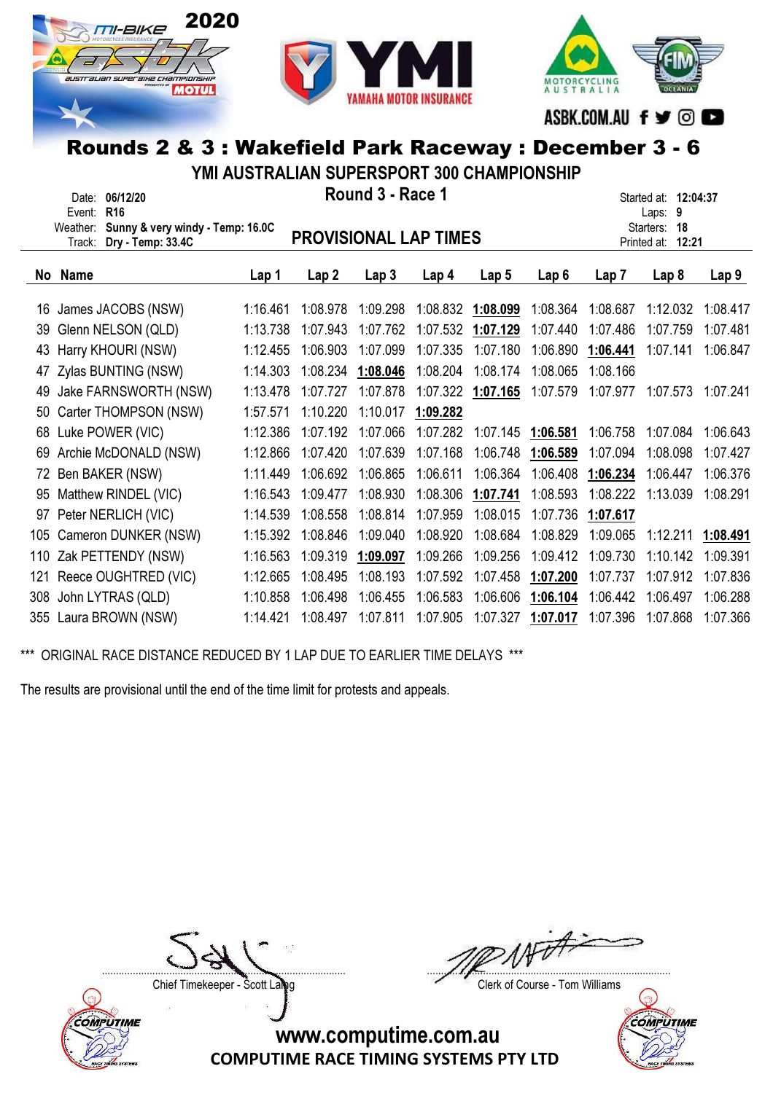





ASBK.COM.AU f ♥ © ■

# Rounds 2 & 3 : Wakefield Park Raceway : December 3 - 6

YMI AUSTRALIAN SUPERSPORT 300 CHAMPIONSHIP

|     | Date: 06/12/20                                                |          |                              | Round 3 - Race 1 |                  |                   |                   | Started at: 12:04:37 |                            |                  |  |
|-----|---------------------------------------------------------------|----------|------------------------------|------------------|------------------|-------------------|-------------------|----------------------|----------------------------|------------------|--|
|     | R <sub>16</sub><br>Event:<br>Sunny & very windy - Temp: 16.0C |          |                              |                  |                  |                   |                   |                      | Laps: 9<br>Starters:<br>18 |                  |  |
|     | Weather:<br>Dry - Temp: 33.4C<br>Track:                       |          | <b>PROVISIONAL LAP TIMES</b> |                  |                  |                   |                   |                      | Printed at:<br>12:21       |                  |  |
|     |                                                               |          |                              |                  |                  |                   |                   |                      |                            |                  |  |
|     | No Name                                                       | Lap 1    | Lap2                         | Lap <sub>3</sub> | Lap <sub>4</sub> | Lap <sub>5</sub>  | Lap6              | Lap 7                | Lap <sub>8</sub>           | Lap <sub>9</sub> |  |
| 16  | James JACOBS (NSW)                                            | 1:16.461 | 1:08.978                     | 1:09.298         |                  | 1:08.832 1:08.099 | 1:08.364          | 1:08.687             | 1:12.032                   | 1:08.417         |  |
| 39  | Glenn NELSON (QLD)                                            | 1:13.738 | 1:07.943                     | 1:07.762         | 1:07.532         | 1:07.129          | 1:07.440          | 1:07.486             | 1:07.759                   | 1:07.481         |  |
| 43  | Harry KHOURI (NSW)                                            | 1:12.455 | 1:06.903                     | 1:07.099         | 1:07.335         | 1:07.180          | 1:06.890          | 1:06.441             | 1:07.141                   | 1:06.847         |  |
| 47  | Zylas BUNTING (NSW)                                           | 1:14.303 | 1:08.234                     | 1:08.046         | 1:08.204         | 1:08.174          | 1:08.065          | 1:08.166             |                            |                  |  |
| 49  | Jake FARNSWORTH (NSW)                                         | 1:13.478 | 1:07.727                     | 1:07.878         |                  | 1:07.322 1:07.165 | 1:07.579          | 1:07.977             | 1:07.573                   | 1:07.241         |  |
| 50  | Carter THOMPSON (NSW)                                         | 1:57.571 | 1:10.220                     | 1:10.017         | 1:09.282         |                   |                   |                      |                            |                  |  |
| 68  | Luke POWER (VIC)                                              | 1:12.386 | 1:07.192                     | 1:07.066         | 1:07.282         |                   | 1:07.145 1:06.581 | 1:06.758             | 1:07.084                   | 1:06.643         |  |
| 69  | Archie McDONALD (NSW)                                         | 1:12.866 | 1:07.420                     | 1:07.639         | 1:07.168         | 1:06.748          | 1:06.589          | 1:07.094             | 1:08.098                   | 1:07.427         |  |
| 72  | Ben BAKER (NSW)                                               | 1:11.449 | 1:06.692                     | 1:06.865         | 1:06.611         | 1:06.364          | 1:06.408          | 1:06.234             | 1:06.447                   | 1:06.376         |  |
| 95  | Matthew RINDEL (VIC)                                          | 1:16.543 | 1:09.477                     | 1:08.930         | 1:08.306         | 1:07.741          | 1:08.593          | 1:08.222             | 1:13.039                   | 1:08.291         |  |
| 97  | Peter NERLICH (VIC)                                           | 1:14.539 | 1:08.558                     | 1:08.814         | 1:07.959         | 1:08.015          | 1:07.736          | 1:07.617             |                            |                  |  |
| 105 | Cameron DUNKER (NSW)                                          | 1:15.392 | 1:08.846                     | 1:09.040         | 1:08.920         | 1:08.684          | 1:08.829          | 1:09.065             | 1:12.211                   | 1:08.491         |  |
| 110 | Zak PETTENDY (NSW)                                            | 1:16.563 | 1:09.319                     | 1:09.097         | 1:09.266         | 1:09.256          | 1:09.412          | 1:09.730             | 1:10.142                   | 1:09.391         |  |
| 121 | Reece OUGHTRED (VIC)                                          | 1:12.665 | 1:08.495                     | 1:08.193         | 1:07.592         | 1:07.458          | 1:07.200          | 1:07.737             | 1:07.912                   | 1:07.836         |  |
| 308 | John LYTRAS (QLD)                                             | 1:10.858 | 1:06.498                     | 1:06.455         | 1:06.583         | 1:06.606          | 1:06.104          | 1:06.442             | 1:06.497                   | 1:06.288         |  |
|     | 355 Laura BROWN (NSW)                                         | 1:14.421 | 1:08.497                     | 1:07.811         | 1:07.905         | 1:07.327          | 1:07.017          | 1:07.396             | 1:07.868                   | 1:07.366         |  |

\*\*\* ORIGINAL RACE DISTANCE REDUCED BY 1 LAP DUE TO EARLIER TIME DELAYS \*\*\*

The results are provisional until the end of the time limit for protests and appeals.



....................................................................................... .......................................................................................

Chief Timekeeper - Scott Laing Chief Timekeeper - Scott Laing

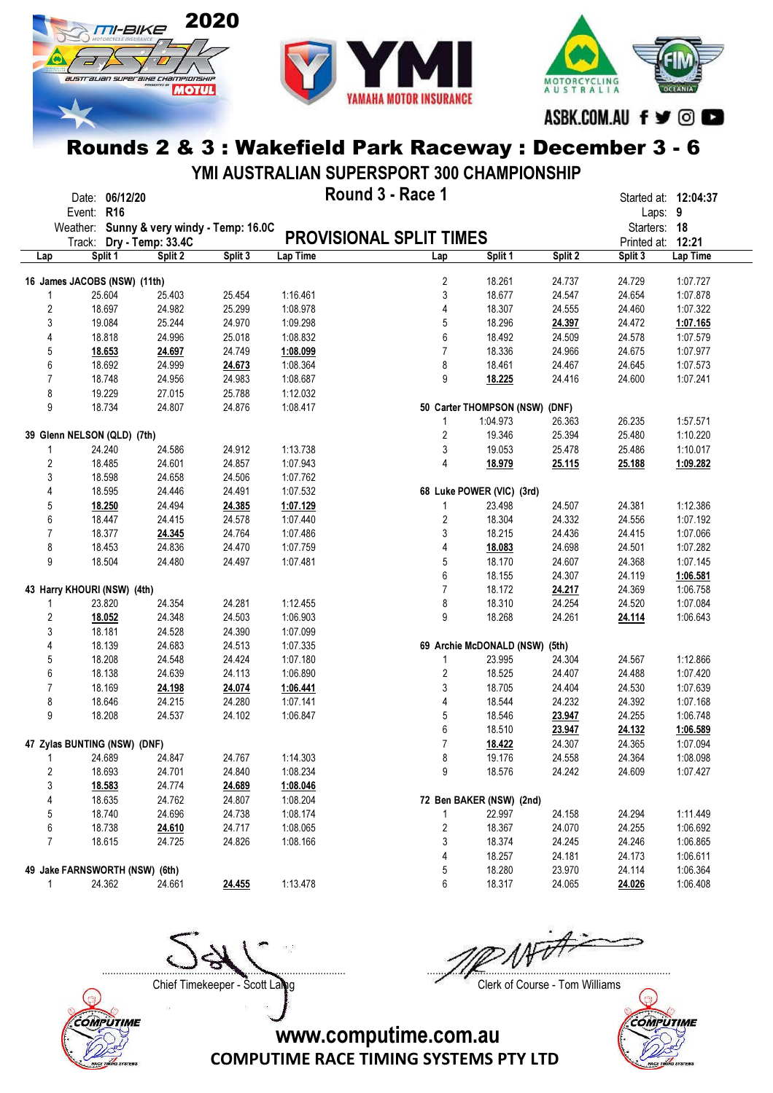





ASBK.COM.AU f ♥ © ■

#### Rounds 2 & 3 : Wakefield Park Raceway : December 3 - 6

YMI AUSTRALIAN SUPERSPORT 300 CHAMPIONSHIP

|                | Date: 06/12/20                                                        |         |         |          | Round 3 - Race 1               |                                |         |                        | Started at: 12:04:37 |
|----------------|-----------------------------------------------------------------------|---------|---------|----------|--------------------------------|--------------------------------|---------|------------------------|----------------------|
|                | Event: R16                                                            |         |         |          |                                |                                |         | Laps: 9                |                      |
|                | Weather: Sunny & very windy - Temp: 16.0C<br>Track: Dry - Temp: 33.4C |         |         |          | <b>PROVISIONAL SPLIT TIMES</b> |                                |         | Starters: 18           | 12:21                |
| Lap            | Split 1                                                               | Split 2 | Split 3 | Lap Time | Lap                            | Split 1                        | Split 2 | Printed at:<br>Split 3 | Lap Time             |
|                |                                                                       |         |         |          |                                |                                |         |                        |                      |
|                | 16 James JACOBS (NSW) (11th)                                          |         |         |          | 2                              | 18.261                         | 24.737  | 24.729                 | 1:07.727             |
| 1              | 25.604                                                                | 25.403  | 25.454  | 1:16.461 | 3                              | 18.677                         | 24.547  | 24.654                 | 1:07.878             |
| 2              | 18.697                                                                | 24.982  | 25.299  | 1:08.978 | 4                              | 18.307                         | 24.555  | 24.460                 | 1:07.322             |
| 3              | 19.084                                                                | 25.244  | 24.970  | 1:09.298 | 5                              | 18.296                         | 24.397  | 24.472                 | 1:07.165             |
| 4              | 18.818                                                                | 24.996  | 25.018  | 1:08.832 | 6                              | 18.492                         | 24.509  | 24.578                 | 1:07.579             |
| 5              | 18.653                                                                | 24.697  | 24.749  | 1:08.099 | $\overline{7}$                 | 18.336                         | 24.966  | 24.675                 | 1:07.977             |
| 6              | 18.692                                                                | 24.999  | 24.673  | 1:08.364 | 8                              | 18.461                         | 24.467  | 24.645                 | 1:07.573             |
| $\overline{7}$ | 18.748                                                                | 24.956  | 24.983  | 1:08.687 | 9                              | 18.225                         | 24.416  | 24.600                 | 1:07.241             |
| 8              | 19.229                                                                | 27.015  | 25.788  | 1:12.032 |                                |                                |         |                        |                      |
| 9              | 18.734                                                                | 24.807  | 24.876  | 1:08.417 |                                | 50 Carter THOMPSON (NSW) (DNF) |         |                        |                      |
|                |                                                                       |         |         |          | 1                              | 1:04.973                       | 26.363  | 26.235                 | 1:57.571             |
|                | 39 Glenn NELSON (QLD) (7th)                                           |         |         |          | 2                              | 19.346                         | 25.394  | 25.480                 | 1:10.220             |
| 1              | 24.240                                                                | 24.586  | 24.912  | 1:13.738 | 3                              | 19.053                         | 25.478  | 25.486                 | 1:10.017             |
| $\overline{2}$ | 18.485                                                                | 24.601  | 24.857  | 1:07.943 | 4                              | 18.979                         | 25.115  | 25.188                 | 1:09.282             |
| 3              | 18.598                                                                | 24.658  | 24.506  | 1:07.762 |                                |                                |         |                        |                      |
| 4              | 18.595                                                                | 24.446  | 24.491  | 1:07.532 |                                | 68 Luke POWER (VIC) (3rd)      |         |                        |                      |
| 5              | 18.250                                                                | 24.494  | 24.385  | 1:07.129 | 1                              | 23.498                         | 24.507  | 24.381                 | 1:12.386             |
| 6              | 18.447                                                                | 24.415  | 24.578  | 1:07.440 | 2                              | 18.304                         | 24.332  | 24.556                 | 1:07.192             |
| $\overline{7}$ | 18.377                                                                | 24.345  | 24.764  | 1:07.486 | 3                              | 18.215                         | 24.436  | 24.415                 | 1:07.066             |
| 8              | 18.453                                                                | 24.836  | 24.470  | 1:07.759 | 4                              | 18.083                         | 24.698  | 24.501                 | 1:07.282             |
| 9              | 18.504                                                                | 24.480  | 24.497  | 1:07.481 | 5                              | 18.170                         | 24.607  | 24.368                 | 1:07.145             |
|                |                                                                       |         |         |          | 6                              | 18.155                         | 24.307  | 24.119                 | 1:06.581             |
|                | 43 Harry KHOURI (NSW) (4th)                                           |         |         |          | $\overline{7}$                 | 18.172                         | 24.217  | 24.369                 | 1:06.758             |
| 1              | 23.820                                                                | 24.354  | 24.281  | 1:12.455 | 8                              | 18.310                         | 24.254  | 24.520                 | 1:07.084             |
| 2              | 18.052                                                                | 24.348  | 24.503  | 1:06.903 | 9                              | 18.268                         | 24.261  | 24.114                 | 1:06.643             |
| 3              | 18.181                                                                | 24.528  | 24.390  | 1:07.099 |                                |                                |         |                        |                      |
| 4              | 18.139                                                                | 24.683  | 24.513  | 1:07.335 |                                | 69 Archie McDONALD (NSW) (5th) |         |                        |                      |
| 5              | 18.208                                                                | 24.548  | 24.424  | 1:07.180 | 1                              | 23.995                         | 24.304  | 24.567                 | 1:12.866             |
| 6              | 18.138                                                                | 24.639  | 24.113  | 1:06.890 | 2                              | 18.525                         | 24.407  | 24.488                 | 1:07.420             |
| $\overline{7}$ | 18.169                                                                | 24.198  | 24.074  | 1:06.441 | 3                              | 18.705                         | 24.404  | 24.530                 | 1:07.639             |
| 8              | 18.646                                                                | 24.215  | 24.280  | 1:07.141 | 4                              | 18.544                         | 24.232  | 24.392                 | 1:07.168             |
| 9              | 18.208                                                                | 24.537  | 24.102  | 1:06.847 | 5                              | 18.546                         | 23.947  | 24.255                 | 1:06.748             |
|                |                                                                       |         |         |          | 6                              | 18.510                         | 23.947  | 24.132                 | 1:06.589             |
|                | 47 Zylas BUNTING (NSW) (DNF)                                          |         |         |          | $\overline{7}$                 | 18.422                         | 24.307  | 24.365                 | 1:07.094             |
| 1              | 24.689                                                                | 24.847  | 24.767  | 1:14.303 | 8                              | 19.176                         | 24.558  | 24.364                 | 1:08.098             |
| 2              | 18.693                                                                | 24.701  | 24.840  | 1:08.234 | 9                              | 18.576                         | 24.242  | 24.609                 | 1:07.427             |
| 3              | 18.583                                                                | 24.774  | 24.689  | 1:08.046 |                                |                                |         |                        |                      |
| 4              | 18.635                                                                | 24.762  | 24.807  | 1:08.204 |                                | 72 Ben BAKER (NSW) (2nd)       |         |                        |                      |
| 5              | 18.740                                                                | 24.696  | 24.738  | 1:08.174 | 1                              | 22.997                         | 24.158  | 24.294                 | 1:11.449             |
| 6              | 18.738                                                                | 24.610  | 24.717  | 1:08.065 | 2                              | 18.367                         | 24.070  | 24.255                 | 1:06.692             |
| 7              | 18.615                                                                | 24.725  | 24.826  | 1:08.166 | 3                              | 18.374                         | 24.245  | 24.246                 | 1:06.865             |
|                |                                                                       |         |         |          | 4                              | 18.257                         | 24.181  | 24.173                 | 1:06.611             |
|                | 49 Jake FARNSWORTH (NSW) (6th)                                        |         |         |          | 5                              | 18.280                         | 23.970  | 24.114                 | 1:06.364             |
| $\mathbf{1}$   | 24.362                                                                | 24.661  | 24.455  | 1:13.478 | 6                              | 18.317                         | 24.065  | 24.026                 | 1:06.408             |



Chief Timekeeper - Scott Laing Chief Timekeeper - Scott Laing

....................................................................................... .......................................................................................

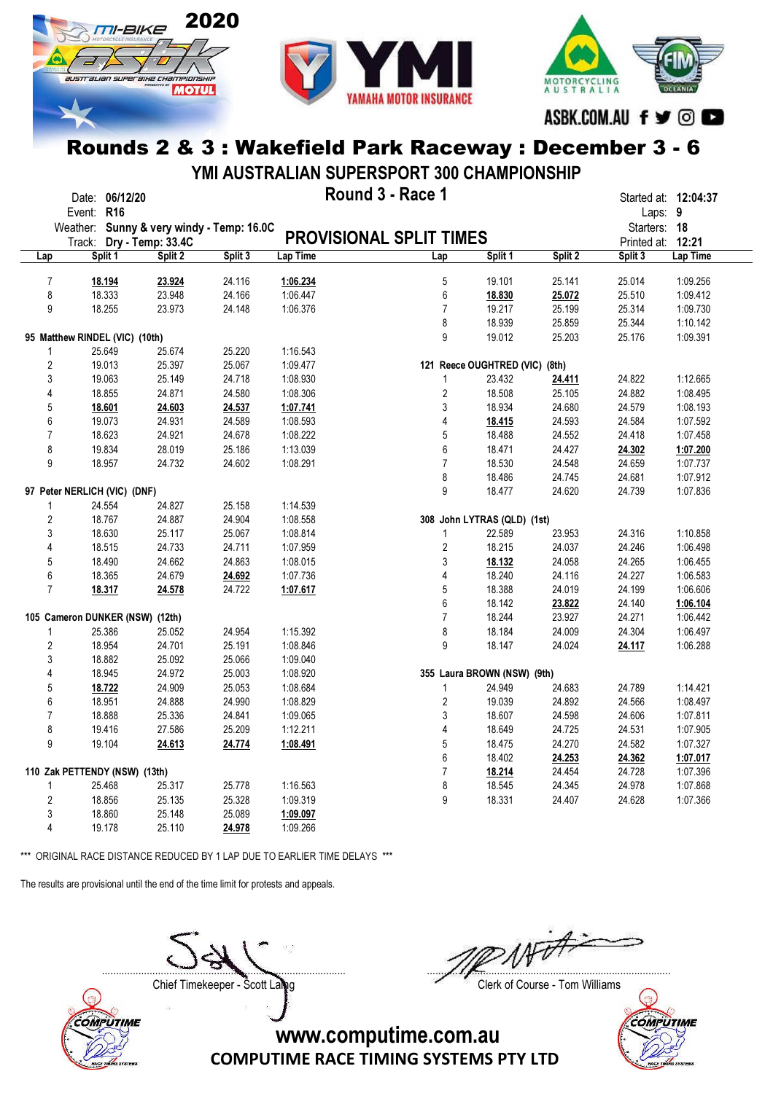



MOTORCYCLING<br>AUSTRALIA ASBK.COM.AU f ♥ © ●

#### Rounds 2 & 3 : Wakefield Park Raceway : December 3 - 6

YMI AUSTRALIAN SUPERSPORT 300 CHAMPIONSHIP

|     |                | Date: 06/12/20                  |         |                                           |                                | Round 3 - Race 1        |                                |         | Started at: 12:04:37 |          |
|-----|----------------|---------------------------------|---------|-------------------------------------------|--------------------------------|-------------------------|--------------------------------|---------|----------------------|----------|
|     | Event: R16     |                                 |         |                                           |                                |                         |                                |         | Laps: 9              |          |
|     |                |                                 |         | Weather: Sunny & very windy - Temp: 16.0C | <b>PROVISIONAL SPLIT TIMES</b> |                         |                                |         | Starters: 18         |          |
|     |                | Track: Dry - Temp: 33.4C        |         |                                           |                                |                         |                                |         | Printed at: 12:21    |          |
| Lap |                | Split 1                         | Split 2 | Split 3                                   | Lap Time                       | Lap                     | Split 1                        | Split 2 | Split 3              | Lap Time |
|     | $\overline{7}$ | 18.194                          | 23.924  | 24.116                                    | 1:06.234                       | 5                       | 19.101                         | 25.141  | 25.014               | 1:09.256 |
|     | 8              | 18.333                          | 23.948  | 24.166                                    | 1:06.447                       | 6                       | 18.830                         | 25.072  | 25.510               | 1:09.412 |
|     | 9              | 18.255                          | 23.973  | 24.148                                    | 1:06.376                       | $\overline{7}$          | 19.217                         | 25.199  | 25.314               | 1:09.730 |
|     |                |                                 |         |                                           |                                | 8                       | 18.939                         | 25.859  | 25.344               | 1:10.142 |
|     |                | 95 Matthew RINDEL (VIC) (10th)  |         |                                           |                                | 9                       | 19.012                         | 25.203  | 25.176               | 1:09.391 |
|     | 1              | 25.649                          | 25.674  | 25.220                                    | 1:16.543                       |                         |                                |         |                      |          |
|     | $\overline{2}$ | 19.013                          | 25.397  | 25.067                                    | 1:09.477                       |                         | 121 Reece OUGHTRED (VIC) (8th) |         |                      |          |
|     | 3              | 19.063                          | 25.149  | 24.718                                    | 1:08.930                       |                         |                                |         | 24.822               | 1:12.665 |
|     |                |                                 |         |                                           |                                | 1                       | 23.432                         | 24.411  |                      |          |
|     | 4              | 18.855                          | 24.871  | 24.580                                    | 1:08.306                       | $\overline{2}$          | 18.508                         | 25.105  | 24.882               | 1:08.495 |
|     | 5              | 18.601                          | 24.603  | 24.537                                    | 1:07.741                       | 3                       | 18.934                         | 24.680  | 24.579               | 1:08.193 |
|     | 6              | 19.073                          | 24.931  | 24.589                                    | 1:08.593                       | 4                       | 18.415                         | 24.593  | 24.584               | 1:07.592 |
|     | $\overline{7}$ | 18.623                          | 24.921  | 24.678                                    | 1:08.222                       | 5                       | 18.488                         | 24.552  | 24.418               | 1:07.458 |
|     | 8              | 19.834                          | 28.019  | 25.186                                    | 1:13.039                       | 6                       | 18.471                         | 24.427  | 24.302               | 1:07.200 |
|     | 9              | 18.957                          | 24.732  | 24.602                                    | 1:08.291                       | $\overline{7}$          | 18.530                         | 24.548  | 24.659               | 1:07.737 |
|     |                |                                 |         |                                           |                                | 8                       | 18.486                         | 24.745  | 24.681               | 1:07.912 |
|     |                | 97 Peter NERLICH (VIC) (DNF)    |         |                                           |                                | 9                       | 18.477                         | 24.620  | 24.739               | 1:07.836 |
|     | $\mathbf{1}$   | 24.554                          | 24.827  | 25.158                                    | 1:14.539                       |                         |                                |         |                      |          |
|     | $\overline{2}$ | 18.767                          | 24.887  | 24.904                                    | 1:08.558                       |                         | 308 John LYTRAS (QLD) (1st)    |         |                      |          |
|     | 3              | 18.630                          | 25.117  | 25.067                                    | 1:08.814                       | $\mathbf{1}$            | 22.589                         | 23.953  | 24.316               | 1:10.858 |
|     | 4              | 18.515                          | 24.733  | 24.711                                    | 1:07.959                       | 2                       | 18.215                         | 24.037  | 24.246               | 1:06.498 |
|     | 5              | 18.490                          | 24.662  | 24.863                                    | 1:08.015                       | 3                       | 18.132                         | 24.058  | 24.265               | 1:06.455 |
|     | 6              | 18.365                          | 24.679  | 24.692                                    | 1:07.736                       | 4                       | 18.240                         | 24.116  | 24.227               | 1:06.583 |
|     | $\overline{7}$ | 18.317                          | 24.578  | 24.722                                    | 1:07.617                       | 5                       | 18.388                         | 24.019  | 24.199               | 1:06.606 |
|     |                |                                 |         |                                           |                                | 6                       | 18.142                         | 23.822  | 24.140               | 1:06.104 |
|     |                | 105 Cameron DUNKER (NSW) (12th) |         |                                           |                                | $\overline{7}$          | 18.244                         | 23.927  | 24.271               | 1:06.442 |
|     | $\mathbf{1}$   | 25.386                          | 25.052  | 24.954                                    | 1:15.392                       | 8                       | 18.184                         | 24.009  | 24.304               | 1:06.497 |
|     | $\overline{2}$ | 18.954                          | 24.701  | 25.191                                    | 1:08.846                       | 9                       | 18.147                         | 24.024  | 24.117               | 1:06.288 |
|     | 3              | 18.882                          | 25.092  | 25.066                                    | 1:09.040                       |                         |                                |         |                      |          |
|     | 4              | 18.945                          | 24.972  | 25.003                                    | 1:08.920                       |                         | 355 Laura BROWN (NSW) (9th)    |         |                      |          |
|     | 5              | 18.722                          | 24.909  | 25.053                                    | 1:08.684                       | $\mathbf{1}$            | 24.949                         | 24.683  | 24.789               | 1:14.421 |
|     | 6              | 18.951                          | 24.888  | 24.990                                    | 1:08.829                       | $\overline{2}$          | 19.039                         | 24.892  | 24.566               | 1:08.497 |
|     | $\overline{7}$ | 18.888                          | 25.336  | 24.841                                    | 1:09.065                       | 3                       | 18.607                         | 24.598  | 24.606               | 1:07.811 |
|     | 8              | 19.416                          | 27.586  | 25.209                                    | 1:12.211                       | $\overline{\mathbf{4}}$ | 18.649                         | 24.725  | 24.531               | 1:07.905 |
|     | 9              | 19.104                          | 24.613  | 24.774                                    | 1:08.491                       | 5                       | 18.475                         | 24.270  | 24.582               | 1:07.327 |
|     |                |                                 |         |                                           |                                | 6                       | 18.402                         | 24.253  | 24.362               | 1:07.017 |
|     |                | 110 Zak PETTENDY (NSW) (13th)   |         |                                           |                                | $\overline{7}$          | 18.214                         | 24.454  | 24.728               | 1:07.396 |
|     | 1              |                                 |         | 25.778                                    | 1:16.563                       | 8                       | 18.545                         | 24.345  | 24.978               |          |
|     |                | 25.468                          | 25.317  |                                           |                                | 9                       |                                |         |                      | 1:07.868 |
|     | $\overline{2}$ | 18.856                          | 25.135  | 25.328                                    | 1:09.319                       |                         | 18.331                         | 24.407  | 24.628               | 1:07.366 |
|     | 3              | 18.860                          | 25.148  | 25.089                                    | 1:09.097                       |                         |                                |         |                      |          |
|     | 4              | 19.178                          | 25.110  | 24.978                                    | 1:09.266                       |                         |                                |         |                      |          |

\*\*\* ORIGINAL RACE DISTANCE REDUCED BY 1 LAP DUE TO EARLIER TIME DELAYS \*\*\*

The results are provisional until the end of the time limit for protests and appeals.



....................................................................................... .......................................................................................

Chief Timekeeper - Scott Laing Chief Timekeeper - Scott Laing

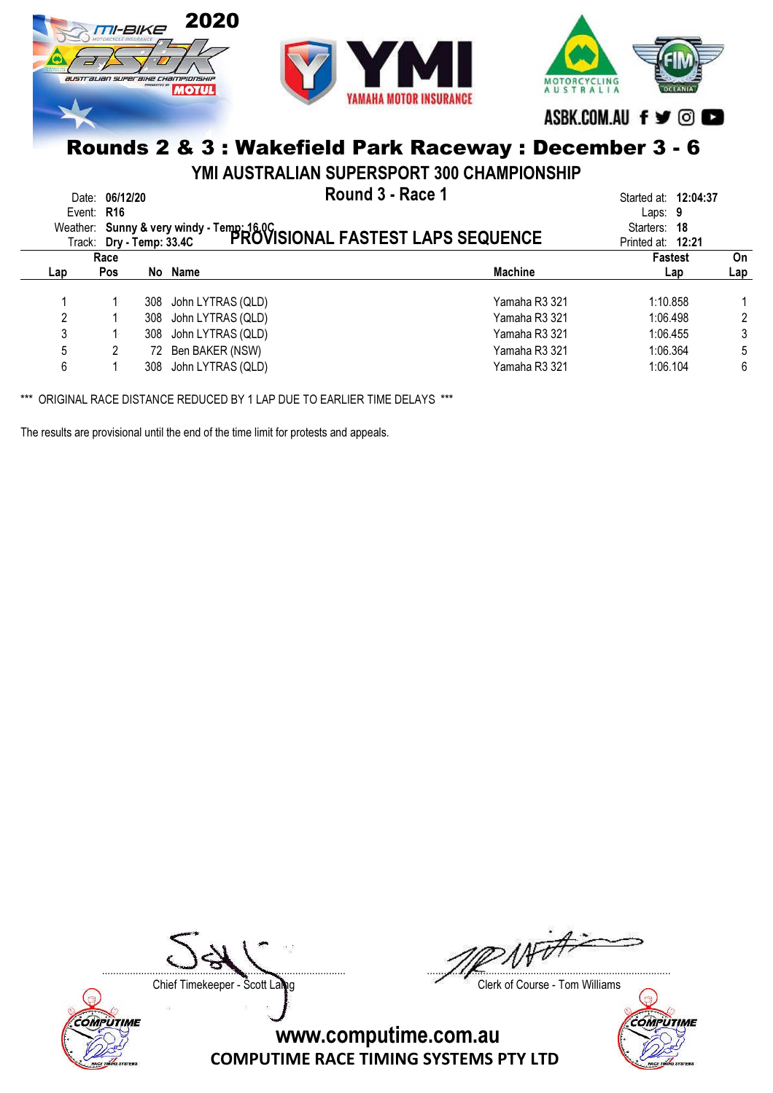

YMI AUSTRALIAN SUPERSPORT 300 CHAMPIONSHIP

|     | Date: 06/12/20<br>Event: R16<br>Track: Dry - Temp: 33.4C |     | Round 3 - Race 1<br>Weather: Sunny & very windy - Temp: 16.0C<br>Track: Dry - Temp: 33.4C PROVISIONAL FASTEST LAPS SEQUENCE |                | Started at: <b>12:04:37</b><br>Laps: $9$<br>Starters: 18<br>Printed at: 12:21 |           |
|-----|----------------------------------------------------------|-----|-----------------------------------------------------------------------------------------------------------------------------|----------------|-------------------------------------------------------------------------------|-----------|
| Lap | Race<br><b>Pos</b>                                       |     | No Name                                                                                                                     | <b>Machine</b> | <b>Fastest</b><br>Lap                                                         | On<br>Lap |
|     |                                                          |     |                                                                                                                             |                |                                                                               |           |
|     |                                                          |     | 308 John LYTRAS (QLD)                                                                                                       | Yamaha R3 321  | 1:10.858                                                                      |           |
| 2   |                                                          |     | 308 John LYTRAS (QLD)                                                                                                       | Yamaha R3 321  | 1:06.498                                                                      | 2         |
| 3   |                                                          | 308 | John LYTRAS (QLD)                                                                                                           | Yamaha R3 321  | 1:06.455                                                                      | 3         |
| 5   |                                                          | 72. | Ben BAKER (NSW)                                                                                                             | Yamaha R3 321  | 1:06.364                                                                      | 5         |
| 6   |                                                          | 308 | John LYTRAS (QLD)                                                                                                           | Yamaha R3 321  | 1:06.104                                                                      | 6         |

\*\*\* ORIGINAL RACE DISTANCE REDUCED BY 1 LAP DUE TO EARLIER TIME DELAYS \*\*\*

The results are provisional until the end of the time limit for protests and appeals.



....................................................................................... .......................................................................................

Chief Timekeeper - Scott Laing Chief Timekeeper - Scott Laing

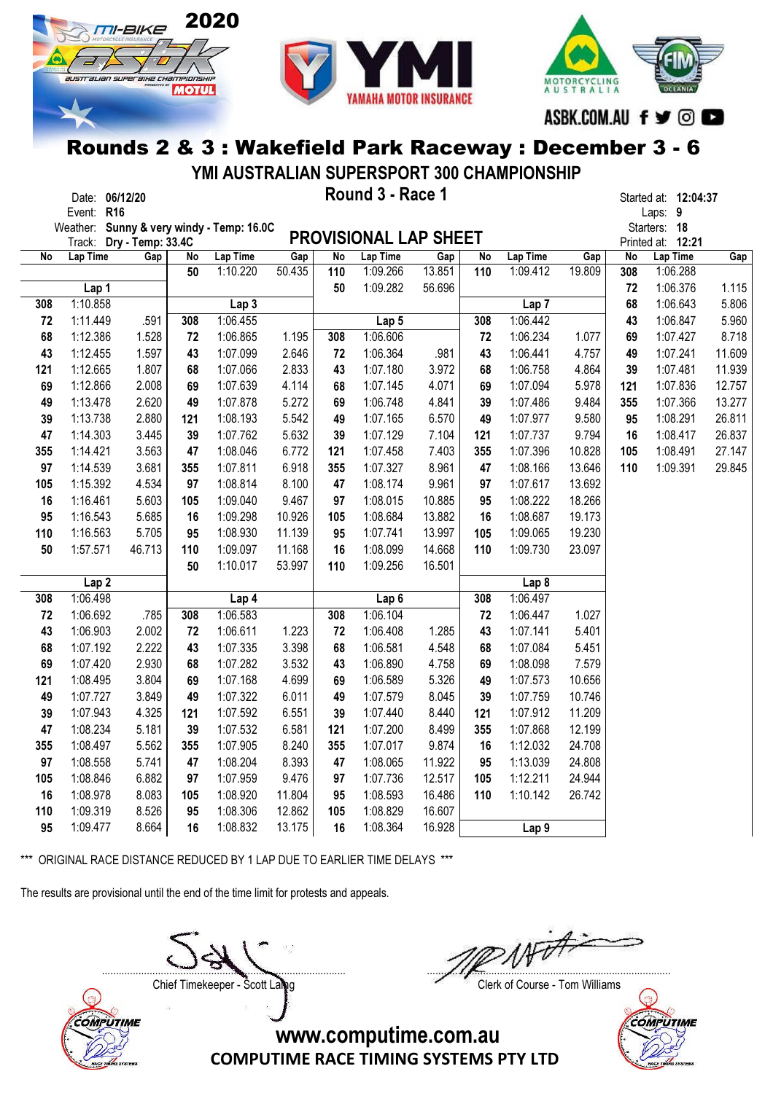





YMI AUSTRALIAN SUPERSPORT 300 CHAMPIONSHIP

| Date:      | 06/12/20 | Round 3 - Race 1 | Started at: |     |
|------------|----------|------------------|-------------|-----|
| Event: R16 |          |                  | Laps:       | - 9 |

Date: 06/12/20 **Example 20 and 3 - Round 3 - Race 1** and 2:04:37 Started at: 12:04:37

|     | Weather: Sunny & very windy - Temp: 16.0C |        |     |                  |        |                 |                              |        |     |                  |        |           | Starters: 18      |        |
|-----|-------------------------------------------|--------|-----|------------------|--------|-----------------|------------------------------|--------|-----|------------------|--------|-----------|-------------------|--------|
|     | Track: Dry - Temp: 33.4C                  |        |     |                  |        |                 | <b>PROVISIONAL LAP SHEET</b> |        |     |                  |        |           | Printed at: 12:21 |        |
| No  | Lap Time                                  | Gap    | No  | Lap Time         | Gap    | $\overline{No}$ | Lap Time                     | Gap    | No  | Lap Time         | Gap    | <b>No</b> | Lap Time          | Gap    |
|     |                                           |        | 50  | 1:10.220         | 50.435 | 110             | 1:09.266                     | 13.851 | 110 | 1:09.412         | 19.809 | 308       | 1:06.288          |        |
|     | Lap 1                                     |        |     |                  |        | 50              | 1:09.282                     | 56.696 |     |                  |        | 72        | 1:06.376          | 1.115  |
| 308 | 1:10.858                                  |        |     | Lap <sub>3</sub> |        |                 |                              |        |     | Lap <sub>7</sub> |        | 68        | 1:06.643          | 5.806  |
| 72  | 1:11.449                                  | .591   | 308 | 1:06.455         |        |                 | Lap 5                        |        | 308 | 1:06.442         |        | 43        | 1:06.847          | 5.960  |
| 68  | 1:12.386                                  | 1.528  | 72  | 1:06.865         | 1.195  | 308             | 1:06.606                     |        | 72  | 1:06.234         | 1.077  | 69        | 1:07.427          | 8.718  |
| 43  | 1:12.455                                  | 1.597  | 43  | 1:07.099         | 2.646  | 72              | 1:06.364                     | .981   | 43  | 1:06.441         | 4.757  | 49        | 1:07.241          | 11.609 |
| 121 | 1:12.665                                  | 1.807  | 68  | 1:07.066         | 2.833  | 43              | 1:07.180                     | 3.972  | 68  | 1:06.758         | 4.864  | 39        | 1:07.481          | 11.939 |
| 69  | 1:12.866                                  | 2.008  | 69  | 1:07.639         | 4.114  | 68              | 1:07.145                     | 4.071  | 69  | 1:07.094         | 5.978  | 121       | 1:07.836          | 12.757 |
| 49  | 1:13.478                                  | 2.620  | 49  | 1:07.878         | 5.272  | 69              | 1:06.748                     | 4.841  | 39  | 1:07.486         | 9.484  | 355       | 1:07.366          | 13.277 |
| 39  | 1:13.738                                  | 2.880  | 121 | 1:08.193         | 5.542  | 49              | 1:07.165                     | 6.570  | 49  | 1:07.977         | 9.580  | 95        | 1:08.291          | 26.811 |
| 47  | 1:14.303                                  | 3.445  | 39  | 1:07.762         | 5.632  | 39              | 1:07.129                     | 7.104  | 121 | 1:07.737         | 9.794  | 16        | 1:08.417          | 26.837 |
| 355 | 1:14.421                                  | 3.563  | 47  | 1:08.046         | 6.772  | 121             | 1:07.458                     | 7.403  | 355 | 1:07.396         | 10.828 | 105       | 1:08.491          | 27.147 |
| 97  | 1:14.539                                  | 3.681  | 355 | 1:07.811         | 6.918  | 355             | 1:07.327                     | 8.961  | 47  | 1:08.166         | 13.646 | 110       | 1:09.391          | 29.845 |
| 105 | 1:15.392                                  | 4.534  | 97  | 1:08.814         | 8.100  | 47              | 1:08.174                     | 9.961  | 97  | 1:07.617         | 13.692 |           |                   |        |
| 16  | 1:16.461                                  | 5.603  | 105 | 1:09.040         | 9.467  | 97              | 1:08.015                     | 10.885 | 95  | 1:08.222         | 18.266 |           |                   |        |
| 95  | 1:16.543                                  | 5.685  | 16  | 1:09.298         | 10.926 | 105             | 1:08.684                     | 13.882 | 16  | 1:08.687         | 19.173 |           |                   |        |
| 110 | 1:16.563                                  | 5.705  | 95  | 1:08.930         | 11.139 | 95              | 1:07.741                     | 13.997 | 105 | 1:09.065         | 19.230 |           |                   |        |
| 50  | 1:57.571                                  | 46.713 | 110 | 1:09.097         | 11.168 | 16              | 1:08.099                     | 14.668 | 110 | 1:09.730         | 23.097 |           |                   |        |
|     |                                           |        | 50  | 1:10.017         | 53.997 | 110             | 1:09.256                     | 16.501 |     |                  |        |           |                   |        |
|     | Lap <sub>2</sub>                          |        |     |                  |        |                 |                              |        |     | Lap <sub>8</sub> |        |           |                   |        |
| 308 | 1:06.498                                  |        |     | Lap 4            |        |                 | Lap <sub>6</sub>             |        | 308 | 1:06.497         |        |           |                   |        |
| 72  | 1:06.692                                  | .785   | 308 | 1:06.583         |        | 308             | 1:06.104                     |        | 72  | 1:06.447         | 1.027  |           |                   |        |
| 43  | 1:06.903                                  | 2.002  | 72  | 1:06.611         | 1.223  | 72              | 1:06.408                     | 1.285  | 43  | 1:07.141         | 5.401  |           |                   |        |
| 68  | 1:07.192                                  | 2.222  | 43  | 1:07.335         | 3.398  | 68              | 1:06.581                     | 4.548  | 68  | 1:07.084         | 5.451  |           |                   |        |
| 69  | 1:07.420                                  | 2.930  | 68  | 1:07.282         | 3.532  | 43              | 1:06.890                     | 4.758  | 69  | 1:08.098         | 7.579  |           |                   |        |
| 121 | 1:08.495                                  | 3.804  | 69  | 1:07.168         | 4.699  | 69              | 1:06.589                     | 5.326  | 49  | 1:07.573         | 10.656 |           |                   |        |
| 49  | 1:07.727                                  | 3.849  | 49  | 1:07.322         | 6.011  | 49              | 1:07.579                     | 8.045  | 39  | 1:07.759         | 10.746 |           |                   |        |
| 39  | 1:07.943                                  | 4.325  | 121 | 1:07.592         | 6.551  | 39              | 1:07.440                     | 8.440  | 121 | 1:07.912         | 11.209 |           |                   |        |
| 47  | 1:08.234                                  | 5.181  | 39  | 1:07.532         | 6.581  | 121             | 1:07.200                     | 8.499  | 355 | 1:07.868         | 12.199 |           |                   |        |
| 355 | 1:08.497                                  | 5.562  | 355 | 1:07.905         | 8.240  | 355             | 1:07.017                     | 9.874  | 16  | 1:12.032         | 24.708 |           |                   |        |
| 97  | 1:08.558                                  | 5.741  | 47  | 1:08.204         | 8.393  | 47              | 1:08.065                     | 11.922 | 95  | 1:13.039         | 24.808 |           |                   |        |
| 105 | 1:08.846                                  | 6.882  | 97  | 1:07.959         | 9.476  | 97              | 1:07.736                     | 12.517 | 105 | 1:12.211         | 24.944 |           |                   |        |
| 16  | 1:08.978                                  | 8.083  | 105 | 1:08.920         | 11.804 | 95              | 1:08.593                     | 16.486 | 110 | 1:10.142         | 26.742 |           |                   |        |
| 110 | 1:09.319                                  | 8.526  | 95  | 1:08.306         | 12.862 | 105             | 1:08.829                     | 16.607 |     |                  |        |           |                   |        |
| 95  | 1:09.477                                  | 8.664  | 16  | 1:08.832         | 13.175 | 16              | 1:08.364                     | 16.928 |     | Lap <sub>9</sub> |        |           |                   |        |

\*\*\* ORIGINAL RACE DISTANCE REDUCED BY 1 LAP DUE TO EARLIER TIME DELAYS \*\*\*

The results are provisional until the end of the time limit for protests and appeals.

....................................................................................... .......................................................................................



Chief Timekeeper - Scott Laing Chief Timekeeper - Scott Laing

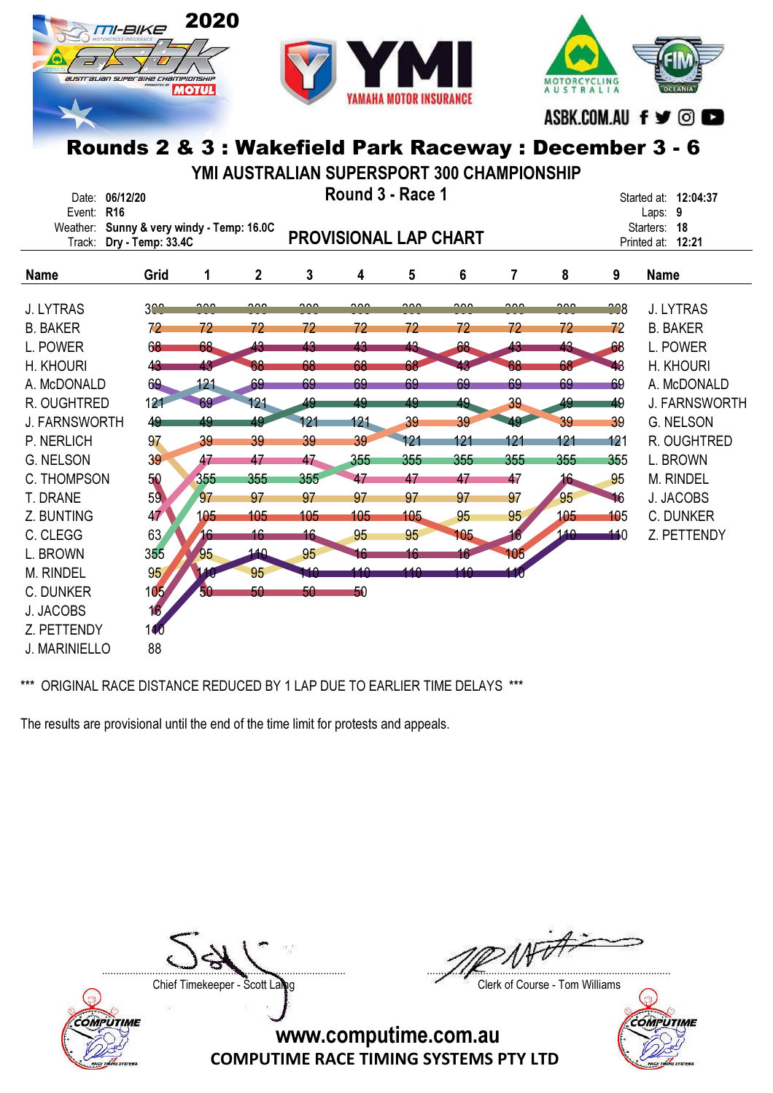





ASBK.COM.AU f ♥ © ■

# Rounds 2 & 3 : Wakefield Park Raceway : December 3 - 6

YMI AUSTRALIAN SUPERSPORT 300 CHAMPIONSHIP

| Round 3 - Race 1<br>06/12/20<br>Date:<br>R <sub>16</sub><br>Event:<br>Sunny & very windy - Temp: 16.0C |                   |        |              |                              |        |        |        | Started at: 12:04:37<br>Laps: 9<br>18 |        |                                |                      |  |
|--------------------------------------------------------------------------------------------------------|-------------------|--------|--------------|------------------------------|--------|--------|--------|---------------------------------------|--------|--------------------------------|----------------------|--|
| Weather:<br>Track:                                                                                     | Dry - Temp: 33.4C |        |              | <b>PROVISIONAL LAP CHART</b> |        |        |        |                                       |        | Starters:<br>Printed at: 12:21 |                      |  |
| <b>Name</b>                                                                                            | Grid              | 1      | $\mathbf{2}$ | 3                            | 4      | 5      | 6      | 7                                     | 8      | 9                              | <b>Name</b>          |  |
| <b>J. LYTRAS</b>                                                                                       | 3 <sup>o</sup>    | $\sim$ | <u>__</u>    | <u>__</u>                    | $\sim$ | $\sim$ | $\sim$ | $\sim$                                | $\sim$ | 228                            | <b>J. LYTRAS</b>     |  |
| <b>B. BAKER</b>                                                                                        | 72                | 72     | 72           | 72                           | 72     | 72     | 72     | 72                                    | 72     | 72                             | <b>B. BAKER</b>      |  |
| L. POWER                                                                                               | 68                | 68     | 43           | 43                           | 43     | 43     | 68     | 43                                    | 43     | 68                             | L. POWER             |  |
| H. KHOURI                                                                                              | 43                | 43     | 68           | 68                           | 68     | 68     |        | 68                                    | 68     | 43                             | H. KHOURI            |  |
| A. McDONALD                                                                                            | 69                | 121    | 69           | 69                           | 69     | 69     | 69     | 69                                    | 69     | 69                             | A. McDONALD          |  |
| R. OUGHTRED                                                                                            | 121               | 69     | 121          | 49                           | 49     | 49     | 49     | 39                                    | 49     | 49                             | <b>J. FARNSWORTH</b> |  |
| <b>J. FARNSWORTH</b>                                                                                   | 49                | 49     | 49           | 121                          | 121    | 39     | 39     | 49                                    | 39     | 39                             | <b>G. NELSON</b>     |  |
| P. NERLICH                                                                                             | 97                | 39     | 39           | 39                           | 39     | 121    | 121    | 121                                   | 121    | 121                            | R. OUGHTRED          |  |
| <b>G. NELSON</b>                                                                                       | 39                | 47     | 47           | 47                           | 355    | 355    | 355    | 355                                   | 355    | 355                            | L. BROWN             |  |
| <b>C. THOMPSON</b>                                                                                     | 50                | 355    | 355          | 355                          | 47     | 47     | 47     | 47                                    | 16     | 95                             | M. RINDEL            |  |
| T. DRANE                                                                                               | 59                | 97     | 97           | 97                           | 97     | 97     | 97     | 97                                    | 95     | 46                             | J. JACOBS            |  |
| Z. BUNTING                                                                                             | 47                | 105    | 105          | 105                          | 105    | 105    | 95     | 95                                    | 105    | 105                            | <b>C. DUNKER</b>     |  |
| C. CLEGG                                                                                               | 63                | 16     | 16           | 16                           | 95     | 95     | 105    | 16                                    | 140    | 10                             | Z. PETTENDY          |  |
| L. BROWN                                                                                               | 355               | 95     | 140          | 95                           | 16     | 16     | 16     | 105                                   |        |                                |                      |  |
| M. RINDEL                                                                                              | 95                |        | 95           | u a                          | 110    | 110    | 140    |                                       |        |                                |                      |  |
| <b>C. DUNKER</b>                                                                                       | 105'              | 50     | 50           | 50                           | 50     |        |        |                                       |        |                                |                      |  |
| J. JACOBS                                                                                              | 16 <sub>2</sub>   |        |              |                              |        |        |        |                                       |        |                                |                      |  |
| Z. PETTENDY                                                                                            | 140               |        |              |                              |        |        |        |                                       |        |                                |                      |  |
| J. MARINIELLO                                                                                          | 88                |        |              |                              |        |        |        |                                       |        |                                |                      |  |

\*\*\* ORIGINAL RACE DISTANCE REDUCED BY 1 LAP DUE TO EARLIER TIME DELAYS \*\*\*

The results are provisional until the end of the time limit for protests and appeals.



....................................................................................... .......................................................................................

Chief Timekeeper - Scott Laing Chief Timekeeper - Scott Laing

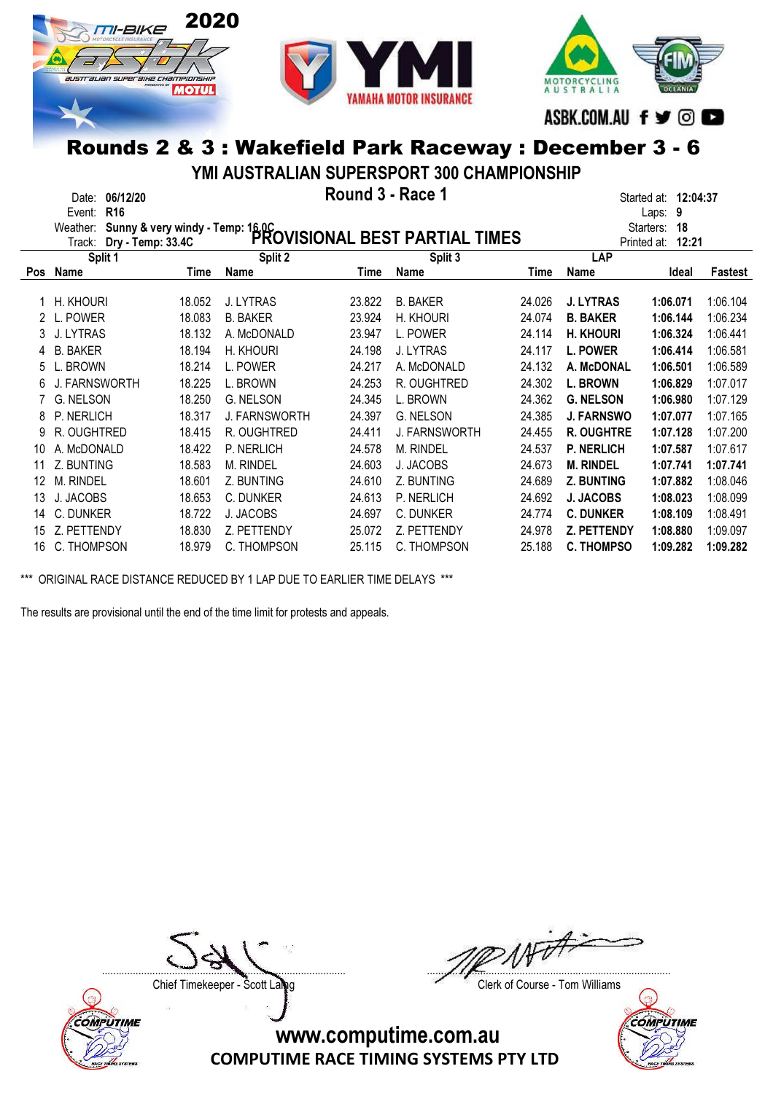





YMI AUSTRALIAN SUPERSPORT 300 CHAMPIONSHIP

|     | 06/12/20<br>Date:<br>R <sub>16</sub><br>Event: |        |                 |        |                                                                                      | 12:04:37<br>Started at:<br>9<br>Laps: |                      |                 |          |  |  |  |
|-----|------------------------------------------------|--------|-----------------|--------|--------------------------------------------------------------------------------------|---------------------------------------|----------------------|-----------------|----------|--|--|--|
|     | Weather:                                       |        |                 |        |                                                                                      |                                       |                      | Starters:<br>18 |          |  |  |  |
|     | Track:                                         |        |                 |        | Sunny & very windy - Temp: 16.0C<br>Drv - Temp: 33.4C PROVISIONAL BEST PARTIAL TIMES |                                       | 12:21<br>Printed at: |                 |          |  |  |  |
|     | Split 1                                        |        | Split 2         |        | Split 3                                                                              |                                       | LAP                  |                 |          |  |  |  |
| Pos | Name                                           | Time   | Name            | Time   | Name                                                                                 | Time                                  | Name                 | Ideal           | Fastest  |  |  |  |
|     | H. KHOURI                                      | 18.052 | J. LYTRAS       | 23.822 | <b>B. BAKER</b>                                                                      | 24.026                                | <b>J. LYTRAS</b>     | 1:06.071        | 1:06.104 |  |  |  |
|     | L. POWER                                       | 18.083 | <b>B. BAKER</b> | 23.924 | H. KHOURI                                                                            | 24.074                                | <b>B. BAKER</b>      | 1:06.144        | 1:06.234 |  |  |  |
| 3   | J. LYTRAS                                      | 18.132 | A. McDONALD     | 23.947 | L. POWER                                                                             | 24.114                                | <b>H. KHOURI</b>     | 1:06.324        | 1:06.441 |  |  |  |
| 4   | <b>B. BAKER</b>                                | 18.194 | H. KHOURI       | 24.198 | J. LYTRAS                                                                            | 24.117                                | <b>L. POWER</b>      | 1:06.414        | 1:06.581 |  |  |  |
| 5   | . BROWN                                        | 18.214 | L. POWER        | 24.217 | A. McDONALD                                                                          | 24.132                                | A. McDONAL           | 1:06.501        | 1:06.589 |  |  |  |
| 6   | . FARNSWORTH                                   | 18.225 | L. BROWN        | 24.253 | R. OUGHTRED                                                                          | 24.302                                | <b>L. BROWN</b>      | 1:06.829        | 1:07.017 |  |  |  |
|     | G. NELSON                                      | 18.250 | G. NELSON       | 24.345 | L. BROWN                                                                             | 24.362                                | <b>G. NELSON</b>     | 1:06.980        | 1:07.129 |  |  |  |
| 8   | P. NERLICH                                     | 18.317 | J. FARNSWORTH   | 24.397 | G. NELSON                                                                            | 24.385                                | <b>J. FARNSWO</b>    | 1:07.077        | 1:07.165 |  |  |  |
| 9   | R. OUGHTRED                                    | 18.415 | R. OUGHTRED     | 24.411 | J. FARNSWORTH                                                                        | 24.455                                | <b>R. OUGHTRE</b>    | 1:07.128        | 1:07.200 |  |  |  |
| 10  | A. McDONALD                                    | 18.422 | P. NERLICH      | 24.578 | M. RINDEL                                                                            | 24.537                                | <b>P. NERLICH</b>    | 1:07.587        | 1:07.617 |  |  |  |
| 11  | Z. BUNTING                                     | 18.583 | M. RINDEL       | 24.603 | J. JACOBS                                                                            | 24.673                                | <b>M. RINDEL</b>     | 1:07.741        | 1:07.741 |  |  |  |
| 12  | M. RINDEL                                      | 18,601 | Z. BUNTING      | 24.610 | Z. BUNTING                                                                           | 24.689                                | <b>Z. BUNTING</b>    | 1:07.882        | 1:08.046 |  |  |  |
| 13  | J. JACOBS                                      | 18.653 | C. DUNKER       | 24.613 | P. NERLICH                                                                           | 24.692                                | <b>J. JACOBS</b>     | 1:08.023        | 1:08.099 |  |  |  |
| 14  | C. DUNKER                                      | 18.722 | J. JACOBS       | 24.697 | C. DUNKER                                                                            | 24.774                                | <b>C. DUNKER</b>     | 1:08.109        | 1:08.491 |  |  |  |
| 15  | Z. PETTENDY                                    | 18.830 | Z. PETTENDY     | 25.072 | Z. PETTENDY                                                                          | 24.978                                | <b>Z. PETTENDY</b>   | 1:08.880        | 1:09.097 |  |  |  |
| 16  | C. THOMPSON                                    | 18.979 | C. THOMPSON     | 25.115 | C. THOMPSON                                                                          | 25.188                                | <b>C. THOMPSO</b>    | 1:09.282        | 1:09.282 |  |  |  |

\*\*\* ORIGINAL RACE DISTANCE REDUCED BY 1 LAP DUE TO EARLIER TIME DELAYS \*\*\*

The results are provisional until the end of the time limit for protests and appeals.



....................................................................................... .......................................................................................

Chief Timekeeper - Scott Laing Chief Timekeeper - Scott Laing

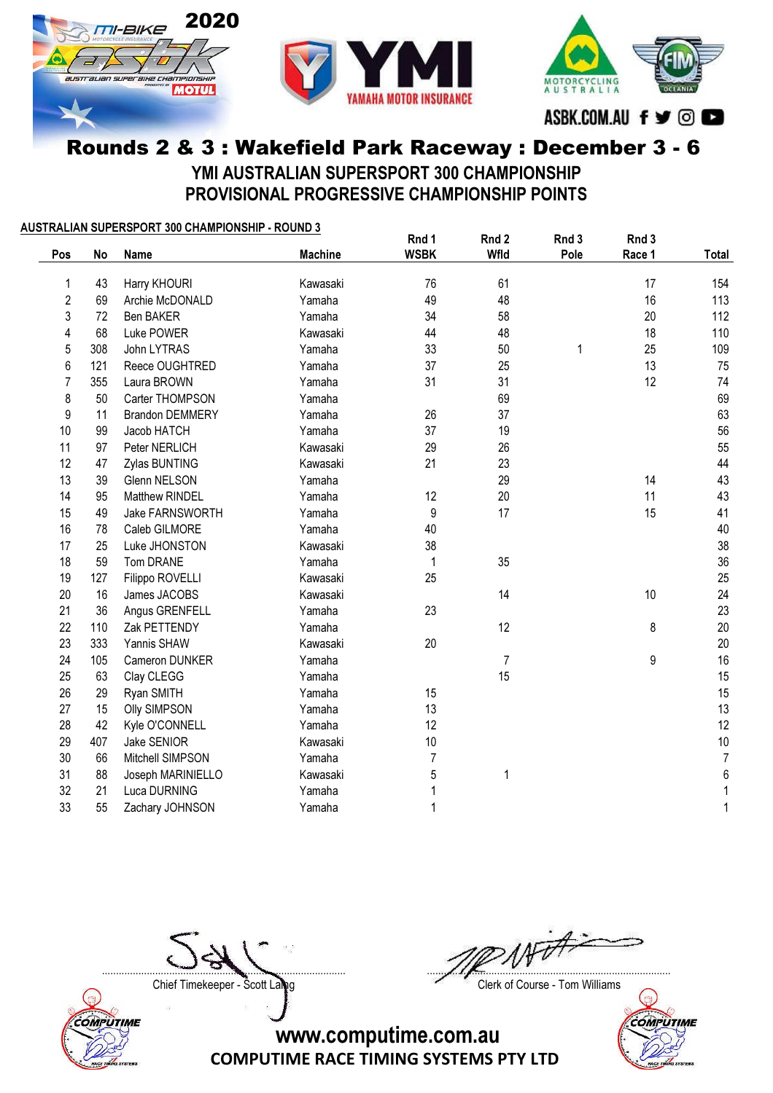

#### Rounds 2 & 3 : Wakefield Park Raceway : December 3 - 6 YMI AUSTRALIAN SUPERSPORT 300 CHAMPIONSHIP PROVISIONAL PROGRESSIVE CHAMPIONSHIP POINTS

#### AUSTRALIAN SUPERSPORT 300 CHAMPIONSHIP - ROUND 3

|                |     |                        |                | Rnd 1          | Rnd 2          | Rnd 3 | Rnd 3  |                  |
|----------------|-----|------------------------|----------------|----------------|----------------|-------|--------|------------------|
| Pos            | No  | <b>Name</b>            | <b>Machine</b> | <b>WSBK</b>    | Wfld           | Pole  | Race 1 | Total            |
| 1              | 43  | Harry KHOURI           | Kawasaki       | 76             | 61             |       | 17     | 154              |
| 2              | 69  | Archie McDONALD        | Yamaha         | 49             | 48             |       | 16     | 113              |
| 3              | 72  | Ben BAKER              | Yamaha         | 34             | 58             |       | 20     | 112              |
| 4              | 68  | Luke POWER             | Kawasaki       | 44             | 48             |       | 18     | 110              |
| 5              | 308 | John LYTRAS            | Yamaha         | 33             | 50             | 1     | 25     | 109              |
| 6              | 121 | Reece OUGHTRED         | Yamaha         | 37             | 25             |       | 13     | 75               |
| $\overline{7}$ | 355 | Laura BROWN            | Yamaha         | 31             | 31             |       | 12     | 74               |
| 8              | 50  | Carter THOMPSON        | Yamaha         |                | 69             |       |        | 69               |
| 9              | 11  | <b>Brandon DEMMERY</b> | Yamaha         | 26             | 37             |       |        | 63               |
| 10             | 99  | Jacob HATCH            | Yamaha         | 37             | 19             |       |        | 56               |
| 11             | 97  | Peter NERLICH          | Kawasaki       | 29             | 26             |       |        | 55               |
| 12             | 47  | Zylas BUNTING          | Kawasaki       | 21             | 23             |       |        | 44               |
| 13             | 39  | <b>Glenn NELSON</b>    | Yamaha         |                | 29             |       | 14     | 43               |
| 14             | 95  | Matthew RINDEL         | Yamaha         | 12             | 20             |       | 11     | 43               |
| 15             | 49  | Jake FARNSWORTH        | Yamaha         | 9              | 17             |       | 15     | 41               |
| 16             | 78  | Caleb GILMORE          | Yamaha         | 40             |                |       |        | 40               |
| 17             | 25  | Luke JHONSTON          | Kawasaki       | 38             |                |       |        | 38               |
| 18             | 59  | Tom DRANE              | Yamaha         | 1              | 35             |       |        | 36               |
| 19             | 127 | Filippo ROVELLI        | Kawasaki       | 25             |                |       |        | 25               |
| 20             | 16  | James JACOBS           | Kawasaki       |                | 14             |       | 10     | 24               |
| 21             | 36  | Angus GRENFELL         | Yamaha         | 23             |                |       |        | 23               |
| 22             | 110 | Zak PETTENDY           | Yamaha         |                | 12             |       | 8      | 20               |
| 23             | 333 | Yannis SHAW            | Kawasaki       | 20             |                |       |        | 20               |
| 24             | 105 | Cameron DUNKER         | Yamaha         |                | $\overline{7}$ |       | 9      | 16               |
| 25             | 63  | Clay CLEGG             | Yamaha         |                | 15             |       |        | 15               |
| 26             | 29  | Ryan SMITH             | Yamaha         | 15             |                |       |        | 15               |
| 27             | 15  | <b>Olly SIMPSON</b>    | Yamaha         | 13             |                |       |        | 13               |
| 28             | 42  | Kyle O'CONNELL         | Yamaha         | 12             |                |       |        | 12               |
| 29             | 407 | Jake SENIOR            | Kawasaki       | 10             |                |       |        | $10$             |
| 30             | 66  | Mitchell SIMPSON       | Yamaha         | $\overline{7}$ |                |       |        | $\boldsymbol{7}$ |
| 31             | 88  | Joseph MARINIELLO      | Kawasaki       | 5              | 1              |       |        | $\boldsymbol{6}$ |
| 32             | 21  | Luca DURNING           | Yamaha         | 1              |                |       |        | 1                |
| 33             | 55  | Zachary JOHNSON        | Yamaha         | 1              |                |       |        | 1                |



....................................................................................... .......................................................................................

Chief Timekeeper - Scott Laling Chief Timekeeper - Scott Laling Chief Course - Tom Williams